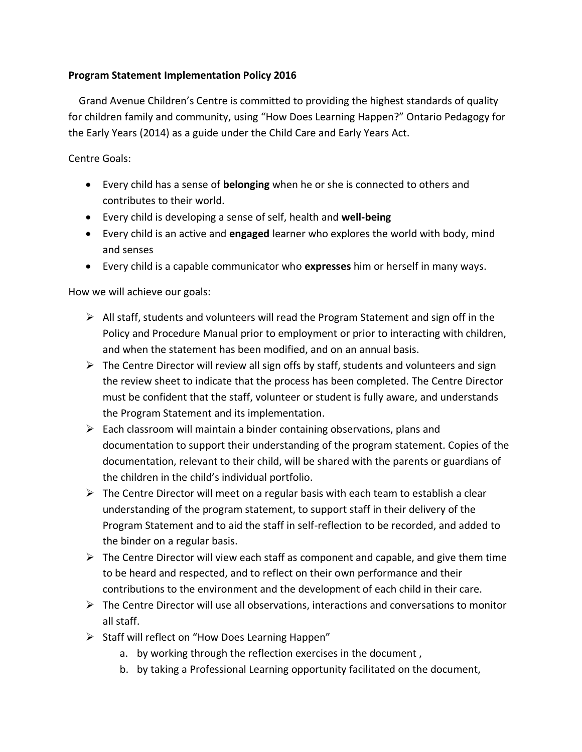## **Program Statement Implementation Policy 2016**

 Grand Avenue Children's Centre is committed to providing the highest standards of quality for children family and community, using "How Does Learning Happen?" Ontario Pedagogy for the Early Years (2014) as a guide under the Child Care and Early Years Act.

Centre Goals:

- Every child has a sense of **belonging** when he or she is connected to others and contributes to their world.
- Every child is developing a sense of self, health and **well-being**
- Every child is an active and **engaged** learner who explores the world with body, mind and senses
- Every child is a capable communicator who **expresses** him or herself in many ways.

How we will achieve our goals:

- $\triangleright$  All staff, students and volunteers will read the Program Statement and sign off in the Policy and Procedure Manual prior to employment or prior to interacting with children, and when the statement has been modified, and on an annual basis.
- $\triangleright$  The Centre Director will review all sign offs by staff, students and volunteers and sign the review sheet to indicate that the process has been completed. The Centre Director must be confident that the staff, volunteer or student is fully aware, and understands the Program Statement and its implementation.
- $\triangleright$  Each classroom will maintain a binder containing observations, plans and documentation to support their understanding of the program statement. Copies of the documentation, relevant to their child, will be shared with the parents or guardians of the children in the child's individual portfolio.
- $\triangleright$  The Centre Director will meet on a regular basis with each team to establish a clear understanding of the program statement, to support staff in their delivery of the Program Statement and to aid the staff in self-reflection to be recorded, and added to the binder on a regular basis.
- $\triangleright$  The Centre Director will view each staff as component and capable, and give them time to be heard and respected, and to reflect on their own performance and their contributions to the environment and the development of each child in their care.
- ➢ The Centre Director will use all observations, interactions and conversations to monitor all staff.
- ➢ Staff will reflect on "How Does Learning Happen"
	- a. by working through the reflection exercises in the document ,
	- b. by taking a Professional Learning opportunity facilitated on the document,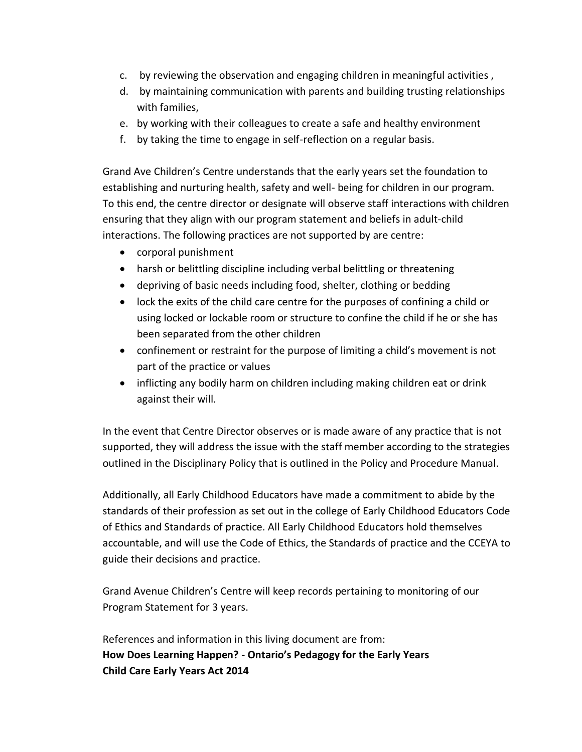- c. by reviewing the observation and engaging children in meaningful activities ,
- d. by maintaining communication with parents and building trusting relationships with families,
- e. by working with their colleagues to create a safe and healthy environment
- f. by taking the time to engage in self-reflection on a regular basis.

Grand Ave Children's Centre understands that the early years set the foundation to establishing and nurturing health, safety and well- being for children in our program. To this end, the centre director or designate will observe staff interactions with children ensuring that they align with our program statement and beliefs in adult-child interactions. The following practices are not supported by are centre:

- corporal punishment
- harsh or belittling discipline including verbal belittling or threatening
- depriving of basic needs including food, shelter, clothing or bedding
- lock the exits of the child care centre for the purposes of confining a child or using locked or lockable room or structure to confine the child if he or she has been separated from the other children
- confinement or restraint for the purpose of limiting a child's movement is not part of the practice or values
- inflicting any bodily harm on children including making children eat or drink against their will.

In the event that Centre Director observes or is made aware of any practice that is not supported, they will address the issue with the staff member according to the strategies outlined in the Disciplinary Policy that is outlined in the Policy and Procedure Manual.

Additionally, all Early Childhood Educators have made a commitment to abide by the standards of their profession as set out in the college of Early Childhood Educators Code of Ethics and Standards of practice. All Early Childhood Educators hold themselves accountable, and will use the Code of Ethics, the Standards of practice and the CCEYA to guide their decisions and practice.

Grand Avenue Children's Centre will keep records pertaining to monitoring of our Program Statement for 3 years.

References and information in this living document are from: **How Does Learning Happen? - Ontario's Pedagogy for the Early Years Child Care Early Years Act 2014**